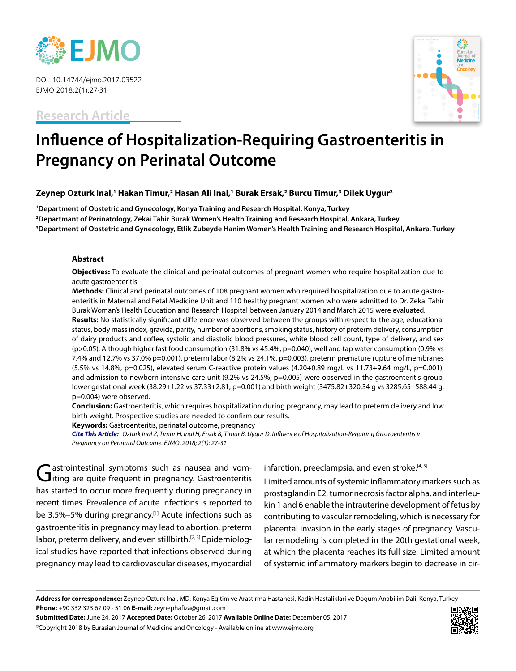

DOI: 10.14744/ejmo.2017.03522 EJMO 2018;2(1):27-31

**Research Article**



# **Influence of Hospitalization-Requiring Gastroenteritis in Pregnancy on Perinatal Outcome**

## **Zeynep Ozturk Inal,1 Hakan Timur,2 Hasan Ali Inal,1 Burak Ersak,2 Burcu Timur,3 Dilek Uygur2**

**1 Department of Obstetric and Gynecology, Konya Training and Research Hospital, Konya, Turkey 2 Departmant of Perinatology, Zekai Tahir Burak Women's Health Training and Research Hospital, Ankara, Turkey 3 Department of Obstetric and Gynecology, Etlik Zubeyde Hanim Women's Health Training and Research Hospital, Ankara, Turkey**

#### **Abstract**

**Objectives:** To evaluate the clinical and perinatal outcomes of pregnant women who require hospitalization due to acute gastroenteritis.

**Methods:** Clinical and perinatal outcomes of 108 pregnant women who required hospitalization due to acute gastroenteritis in Maternal and Fetal Medicine Unit and 110 healthy pregnant women who were admitted to Dr. Zekai Tahir Burak Woman's Health Education and Research Hospital between January 2014 and March 2015 were evaluated.

**Results:** No statistically significant difference was observed between the groups with respect to the age, educational status, body mass index, gravida, parity, number of abortions, smoking status, history of preterm delivery, consumption of dairy products and coffee, systolic and diastolic blood pressures, white blood cell count, type of delivery, and sex (p>0.05). Although higher fast food consumption (31.8% vs 45.4%, p=0.040), well and tap water consumption (0.9% vs 7.4% and 12.7% vs 37.0% p=0.001), preterm labor (8.2% vs 24.1%, p=0.003), preterm premature rupture of membranes  $(5.5\% \text{ vs } 14.8\%, \text{ p=0.025})$ , elevated serum C-reactive protein values  $(4.20+0.89 \text{ mg/L vs } 11.73+9.64 \text{ mg/L}, \text{ p=0.001})$ , and admission to newborn intensive care unit (9.2% vs 24.5%, p=0.005) were observed in the gastroenteritis group, lower gestational week (38.29+1.22 vs 37.33+2.81, p=0.001) and birth weight (3475.82+320.34 g vs 3285.65+588.44 g, p=0.004) were observed.

**Conclusion:** Gastroenteritis, which requires hospitalization during pregnancy, may lead to preterm delivery and low birth weight. Prospective studies are needed to confirm our results.

**Keywords:** Gastroenteritis, perinatal outcome, pregnancy

**Cite This Article:** Ozturk Inal Z, Timur H, Inal H, Ersak B, Timur B, Uygur D. Influence of Hospitalization-Requiring Gastroenteritis in Pregnancy on Perinatal Outcome. EJMO. 2018; 2(1): 27-31

Gastrointestinal symptoms such as nausea and vom-<br>Giting are quite frequent in pregnancy. Gastroenteritis has started to occur more frequently during pregnancy in recent times. Prevalence of acute infections is reported to be 3.5%–5% during pregnancy.<sup>[1]</sup> Acute infections such as gastroenteritis in pregnancy may lead to abortion, preterm labor, preterm delivery, and even stillbirth.<sup>[2, 3]</sup> Epidemiological studies have reported that infections observed during pregnancy may lead to cardiovascular diseases, myocardial infarction, preeclampsia, and even stroke.<sup>[4, 5]</sup>

Limited amounts of systemic inflammatory markers such as prostaglandin E2, tumor necrosis factor alpha, and interleukin 1 and 6 enable the intrauterine development of fetus by contributing to vascular remodeling, which is necessary for placental invasion in the early stages of pregnancy. Vascular remodeling is completed in the 20th gestational week, at which the placenta reaches its full size. Limited amount of systemic inflammatory markers begin to decrease in cir-

**Submitted Date:** June 24, 2017 **Accepted Date:** October 26, 2017 **Available Online Date:** December 05, 2017 ©Copyright 2018 by Eurasian Journal of Medicine and Oncology - Available online at www.ejmo.org



**Address for correspondence:** Zeynep Ozturk Inal, MD. Konya Egitim ve Arastirma Hastanesi, Kadin Hastaliklari ve Dogum Anabilim Dali, Konya, Turkey **Phone:** +90 332 323 67 09 - 51 06 **E-mail:** zeynephafiza@gmail.com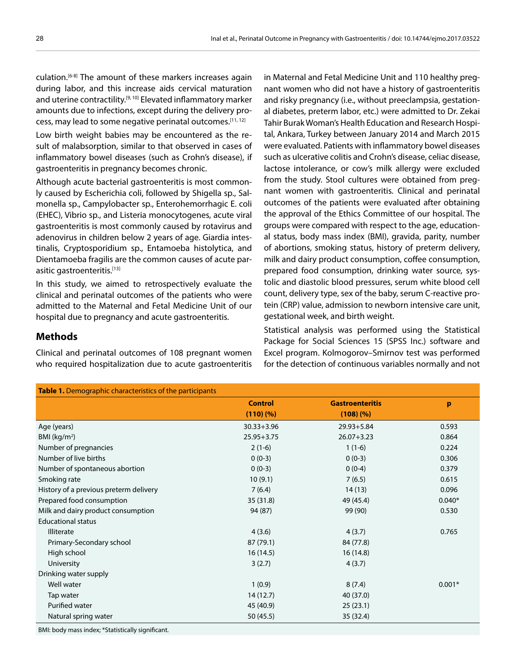culation.[6-8] The amount of these markers increases again during labor, and this increase aids cervical maturation and uterine contractility.<sup>[9, 10]</sup> Elevated inflammatory marker amounts due to infections, except during the delivery process, may lead to some negative perinatal outcomes.[11, 12]

Low birth weight babies may be encountered as the result of malabsorption, similar to that observed in cases of inflammatory bowel diseases (such as Crohn's disease), if gastroenteritis in pregnancy becomes chronic.

Although acute bacterial gastroenteritis is most commonly caused by Escherichia coli, followed by Shigella sp., Salmonella sp., Campylobacter sp., Enterohemorrhagic E. coli (EHEC), Vibrio sp., and Listeria monocytogenes, acute viral gastroenteritis is most commonly caused by rotavirus and adenovirus in children below 2 years of age. Giardia intestinalis, Cryptosporidium sp., Entamoeba histolytica, and Dientamoeba fragilis are the common causes of acute parasitic gastroenteritis.<sup>[13]</sup>

In this study, we aimed to retrospectively evaluate the clinical and perinatal outcomes of the patients who were admitted to the Maternal and Fetal Medicine Unit of our hospital due to pregnancy and acute gastroenteritis.

Clinical and perinatal outcomes of 108 pregnant women who required hospitalization due to acute gastroenteritis in Maternal and Fetal Medicine Unit and 110 healthy pregnant women who did not have a history of gastroenteritis and risky pregnancy (i.e., without preeclampsia, gestational diabetes, preterm labor, etc.) were admitted to Dr. Zekai Tahir Burak Woman's Health Education and Research Hospital, Ankara, Turkey between January 2014 and March 2015 were evaluated. Patients with inflammatory bowel diseases such as ulcerative colitis and Crohn's disease, celiac disease, lactose intolerance, or cow's milk allergy were excluded from the study. Stool cultures were obtained from pregnant women with gastroenteritis. Clinical and perinatal outcomes of the patients were evaluated after obtaining the approval of the Ethics Committee of our hospital. The groups were compared with respect to the age, educational status, body mass index (BMI), gravida, parity, number of abortions, smoking status, history of preterm delivery, milk and dairy product consumption, coffee consumption, prepared food consumption, drinking water source, systolic and diastolic blood pressures, serum white blood cell count, delivery type, sex of the baby, serum C-reactive protein (CRP) value, admission to newborn intensive care unit, gestational week, and birth weight.

Statistical analysis was performed using the Statistical Package for Social Sciences 15 (SPSS Inc.) software and Excel program. Kolmogorov–Smirnov test was performed for the detection of continuous variables normally and not

| <b>Table 1.</b> Demographic characteristics of the participants |                        |          |  |  |
|-----------------------------------------------------------------|------------------------|----------|--|--|
| <b>Control</b>                                                  | <b>Gastroenteritis</b> | p        |  |  |
| (110)(%                                                         | (108)(%                |          |  |  |
| $30.33 + 3.96$                                                  | $29.93 + 5.84$         | 0.593    |  |  |
| $25.95 + 3.75$                                                  | $26.07 + 3.23$         | 0.864    |  |  |
| $2(1-6)$                                                        | $1(1-6)$               | 0.224    |  |  |
| $0(0-3)$                                                        | $0(0-3)$               | 0.306    |  |  |
| $0(0-3)$                                                        | $0(0-4)$               | 0.379    |  |  |
| 10(9.1)                                                         | 7(6.5)                 | 0.615    |  |  |
| 7(6.4)                                                          | 14(13)                 | 0.096    |  |  |
| 35(31.8)                                                        | 49 (45.4)              | $0.040*$ |  |  |
| 94 (87)                                                         | 99 (90)                | 0.530    |  |  |
|                                                                 |                        |          |  |  |
| 4(3.6)                                                          | 4(3.7)                 | 0.765    |  |  |
| 87 (79.1)                                                       | 84 (77.8)              |          |  |  |
| 16(14.5)                                                        | 16(14.8)               |          |  |  |
| 3(2.7)                                                          | 4(3.7)                 |          |  |  |
|                                                                 |                        |          |  |  |
| 1(0.9)                                                          | 8(7.4)                 | $0.001*$ |  |  |
| 14 (12.7)                                                       | 40 (37.0)              |          |  |  |
| 45 (40.9)                                                       | 25(23.1)               |          |  |  |
| 50 (45.5)                                                       | 35 (32.4)              |          |  |  |
|                                                                 |                        |          |  |  |

BMI: body mass index; \*Statistically significant.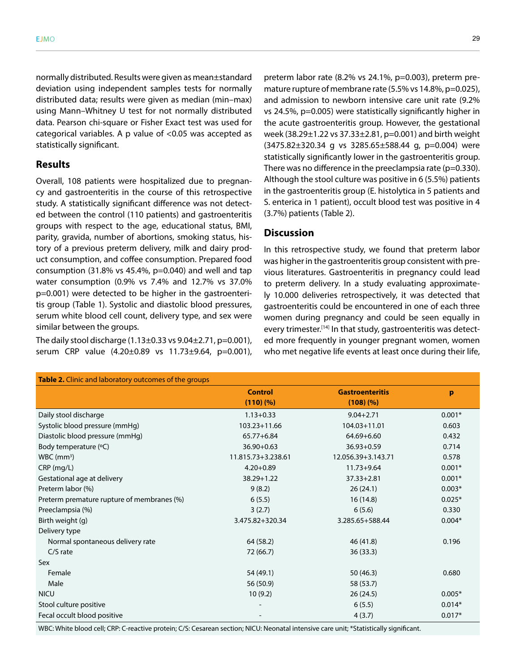normally distributed. Results were given as mean±standard deviation using independent samples tests for normally distributed data; results were given as median (min–max) using Mann–Whitney U test for not normally distributed data. Pearson chi-square or Fisher Exact test was used for categorical variables. A p value of <0.05 was accepted as

#### **Results**

statistically significant.

Overall, 108 patients were hospitalized due to pregnancy and gastroenteritis in the course of this retrospective study. A statistically significant difference was not detected between the control (110 patients) and gastroenteritis groups with respect to the age, educational status, BMI, parity, gravida, number of abortions, smoking status, history of a previous preterm delivery, milk and dairy product consumption, and coffee consumption. Prepared food consumption (31.8% vs 45.4%, p=0.040) and well and tap water consumption (0.9% vs 7.4% and 12.7% vs 37.0% p=0.001) were detected to be higher in the gastroenteritis group (Table 1). Systolic and diastolic blood pressures, serum white blood cell count, delivery type, and sex were similar between the groups.

The daily stool discharge  $(1.13\pm0.33 \text{ vs } 9.04\pm2.71, \text{p}=0.001)$ , serum CRP value (4.20±0.89 vs 11.73±9.64, p=0.001),

preterm labor rate (8.2% vs 24.1%, p=0.003), preterm premature rupture of membrane rate (5.5% vs 14.8%, p=0.025), and admission to newborn intensive care unit rate (9.2% vs 24.5%, p=0.005) were statistically significantly higher in the acute gastroenteritis group. However, the gestational week (38.29±1.22 vs 37.33±2.81, p=0.001) and birth weight  $(3475.82 \pm 320.34$  g vs  $3285.65 \pm 588.44$  g, p=0.004) were statistically significantly lower in the gastroenteritis group. There was no difference in the preeclampsia rate ( $p=0.330$ ). Although the stool culture was positive in 6 (5.5%) patients in the gastroenteritis group (E. histolytica in 5 patients and S. enterica in 1 patient), occult blood test was positive in 4 (3.7%) patients (Table 2).

## **Discussion**

In this retrospective study, we found that preterm labor was higher in the gastroenteritis group consistent with previous literatures. Gastroenteritis in pregnancy could lead to preterm delivery. In a study evaluating approximately 10.000 deliveries retrospectively, it was detected that gastroenteritis could be encountered in one of each three women during pregnancy and could be seen equally in every trimester.<sup>[14]</sup> In that study, gastroenteritis was detected more frequently in younger pregnant women, women who met negative life events at least once during their life,

| Table 2. Clinic and laboratory outcomes of the groups |                    |                        |          |  |
|-------------------------------------------------------|--------------------|------------------------|----------|--|
|                                                       | <b>Control</b>     | <b>Gastroenteritis</b> | p        |  |
|                                                       | (110)(%            | (108)(%                |          |  |
| Daily stool discharge                                 | $1.13 + 0.33$      | $9.04 + 2.71$          | $0.001*$ |  |
| Systolic blood pressure (mmHg)                        | 103.23+11.66       | 104.03+11.01           | 0.603    |  |
| Diastolic blood pressure (mmHg)                       | 65.77+6.84         | 64.69+6.60             | 0.432    |  |
| Body temperature (°C)                                 | $36.90 + 0.63$     | $36.93 + 0.59$         | 0.714    |  |
| $WBC$ (mm <sup>3</sup> )                              | 11.815.73+3.238.61 | 12.056.39+3.143.71     | 0.578    |  |
| $CRP$ (mg/L)                                          | $4.20 + 0.89$      | $11.73 + 9.64$         | $0.001*$ |  |
| Gestational age at delivery                           | 38.29+1.22         | $37.33 + 2.81$         | $0.001*$ |  |
| Preterm labor (%)                                     | 9(8.2)             | 26(24.1)               | $0.003*$ |  |
| Preterm premature rupture of membranes (%)            | 6(5.5)             | 16(14.8)               | $0.025*$ |  |
| Preeclampsia (%)                                      | 3(2.7)             | 6(5.6)                 | 0.330    |  |
| Birth weight (g)                                      | 3.475.82+320.34    | 3.285.65+588.44        | $0.004*$ |  |
| Delivery type                                         |                    |                        |          |  |
| Normal spontaneous delivery rate                      | 64 (58.2)          | 46 (41.8)              | 0.196    |  |
| $C/S$ rate                                            | 72 (66.7)          | 36(33.3)               |          |  |
| Sex                                                   |                    |                        |          |  |
| Female                                                | 54 (49.1)          | 50 (46.3)              | 0.680    |  |
| Male                                                  | 56 (50.9)          | 58 (53.7)              |          |  |
| <b>NICU</b>                                           | 10(9.2)            | 26(24.5)               | $0.005*$ |  |
| Stool culture positive                                |                    | 6(5.5)                 | $0.014*$ |  |
| Fecal occult blood positive                           |                    | 4(3.7)                 | $0.017*$ |  |
|                                                       |                    |                        |          |  |

WBC: White blood cell; CRP: C-reactive protein; C/S: Cesarean section; NICU: Neonatal intensive care unit; \*Statistically significant.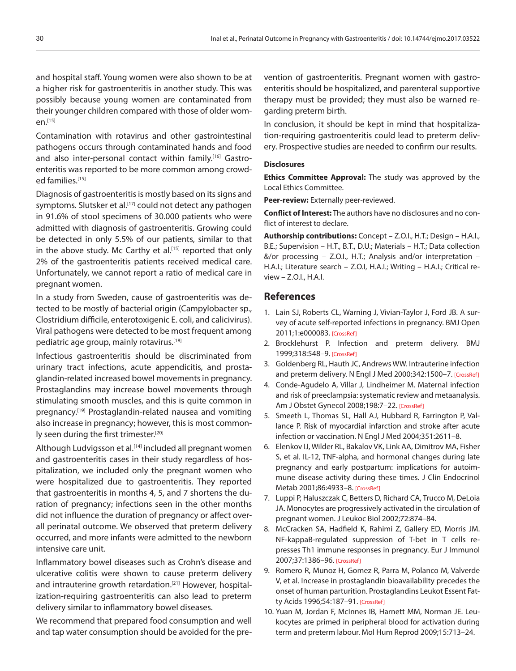and hospital staff. Young women were also shown to be at a higher risk for gastroenteritis in another study. This was possibly because young women are contaminated from their younger children compared with those of older wom $en.$ <sup>[15]</sup>

Contamination with rotavirus and other gastrointestinal pathogens occurs through contaminated hands and food and also inter-personal contact within family.[16] Gastroenteritis was reported to be more common among crowded families.[15]

Diagnosis of gastroenteritis is mostly based on its signs and symptoms. Slutsker et al.<sup>[17]</sup> could not detect any pathogen in 91.6% of stool specimens of 30.000 patients who were admitted with diagnosis of gastroenteritis. Growing could be detected in only 5.5% of our patients, similar to that in the above study. Mc Carthy et al.<sup>[15]</sup> reported that only 2% of the gastroenteritis patients received medical care. Unfortunately, we cannot report a ratio of medical care in pregnant women.

In a study from Sweden, cause of gastroenteritis was detected to be mostly of bacterial origin (Campylobacter sp., Clostridium difficile, enterotoxigenic E. coli, and calicivirus). Viral pathogens were detected to be most frequent among pediatric age group, mainly rotavirus.<sup>[18]</sup>

Infectious gastroenteritis should be discriminated from urinary tract infections, acute appendicitis, and prostaglandin-related increased bowel movements in pregnancy. Prostaglandins may increase bowel movements through stimulating smooth muscles, and this is quite common in pregnancy.<sup>[19]</sup> Prostaglandin-related nausea and vomiting also increase in pregnancy; however, this is most commonly seen during the first trimester.<sup>[20]</sup>

Although Ludvigsson et al.<sup>[14]</sup> included all pregnant women and gastroenteritis cases in their study regardless of hospitalization, we included only the pregnant women who were hospitalized due to gastroenteritis. They reported that gastroenteritis in months 4, 5, and 7 shortens the duration of pregnancy; infections seen in the other months did not influence the duration of pregnancy or affect overall perinatal outcome. We observed that preterm delivery occurred, and more infants were admitted to the newborn intensive care unit.

Inflammatory bowel diseases such as Crohn's disease and ulcerative colitis were shown to cause preterm delivery and intrauterine growth retardation.<sup>[21]</sup> However, hospitalization-requiring gastroenteritis can also lead to preterm delivery similar to inflammatory bowel diseases.

We recommend that prepared food consumption and well and tap water consumption should be avoided for the pre-

vention of gastroenteritis. Pregnant women with gastroenteritis should be hospitalized, and parenteral supportive therapy must be provided; they must also be warned regarding preterm birth.

In conclusion, it should be kept in mind that hospitalization-requiring gastroenteritis could lead to preterm delivery. Prospective studies are needed to confirm our results.

#### **Disclosures**

**Ethics Committee Approval:** The study was approved by the Local Ethics Committee.

**Peer-review:** Externally peer-reviewed.

**Conflict of Interest:** The authors have no disclosures and no conflict of interest to declare.

**Authorship contributions:** Concept – Z.O.I., H.T.; Design – H.A.I., B.E.; Supervision – H.T., B.T., D.U.; Materials – H.T.; Data collection &/or processing – Z.O.I., H.T.; Analysis and/or interpretation – H.A.I.; Literature search – Z.O.I, H.A.I.; Writing – H.A.I.; Critical review – Z.O.I., H.A.I.

#### **References**

- 1. Lain SJ, Roberts CL, Warning J, Vivian-Taylor J, Ford JB. A survey of acute self-reported infections in pregnancy. BMJ Open 2011;1:e00008[3. \[CrossRef\]](https://doi.org/10.1136/bmjopen-2011-000083)
- 2. Brocklehurst P. Infection and preterm delivery. BMJ 1999;318:548–[9. \[CrossRef\]](https://doi.org/10.1136/bmj.318.7183.548)
- 3. Goldenberg RL, Hauth JC, Andrews WW. Intrauterine infection and preterm delivery. N Engl J Med 2000;342:1500-7[. \[CrossRef\]](https://doi.org/10.1056/NEJM200005183422007)
- 4. Conde-Agudelo A, Villar J, Lindheimer M. Maternal infection and risk of preeclampsia: systematic review and metaanalysis. Am J Obstet Gynecol 2008;198:7-22[. \[CrossRef\]](https://doi.org/10.1016/j.ajog.2007.07.040)
- 5. Smeeth L, Thomas SL, Hall AJ, Hubbard R, Farrington P, Vallance P. Risk of myocardial infarction and stroke after acute infection or vaccination. [N Engl J Med 2004;351:2611–8.](https://doi.org/10.1056/NEJMoa041747)
- 6. Elenkov IJ, Wilder RL, Bakalov VK, Link AA, Dimitrov MA, Fisher S, et al. IL-12, TNF-alpha, and hormonal changes during late pregnancy and early postpartum: implications for autoimmune disease activity during these times. J Clin Endocrinol Metab 2001;86:4933–[8. \[CrossRef\]](https://doi.org/10.1210/jcem.86.10.7905)
- 7. Luppi P, Haluszczak C, Betters D, Richard CA, Trucco M, DeLoia JA. Monocytes are progressively activated in the circulation of pregnant women. J Leukoc Biol 2002;72:874–84.
- 8. McCracken SA, Hadfield K, Rahimi Z, Gallery ED, Morris JM. NF-kappaB-regulated suppression of T-bet in T cells represses Th1 immune responses in pregnancy. Eur J Immunol 2007;37:1386–96[. \[CrossRef\]](https://doi.org/10.1002/eji.200636322)
- 9. Romero R, Munoz H, Gomez R, Parra M, Polanco M, Valverde V, et al. Increase in prostaglandin bioavailability precedes the onset of human parturition. Prostaglandins Leukot Essent Fatty Acids 1996;54:187–91. [\[CrossRef\]](https://doi.org/10.1016/S0952-3278(96)90015-0)
- 10. Yuan M, Jordan F, McInnes IB, Harnett MM, Norman JE. Leukocytes are primed in peripheral blood for activation during term and preterm labour. [Mol Hum Reprod 2009;15:713–24.](https://doi.org/10.1093/molehr/gap054)